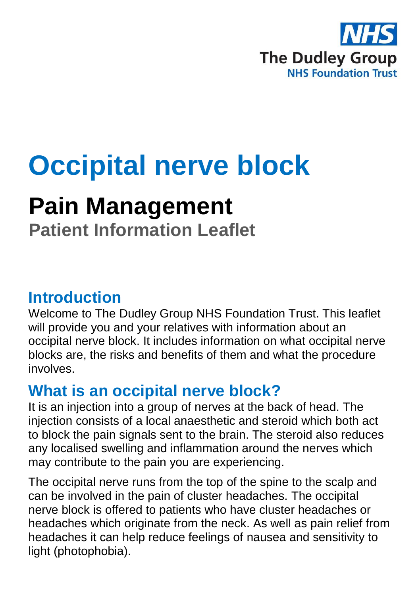

# **Occipital nerve block**

## **Pain Management**

**Patient Information Leaflet**

#### **Introduction**

Welcome to The Dudley Group NHS Foundation Trust. This leaflet will provide you and your relatives with information about an occipital nerve block. It includes information on what occipital nerve blocks are, the risks and benefits of them and what the procedure involves.

### **What is an occipital nerve block?**

It is an injection into a group of nerves at the back of head. The injection consists of a local anaesthetic and steroid which both act to block the pain signals sent to the brain. The steroid also reduces any localised swelling and inflammation around the nerves which may contribute to the pain you are experiencing.

The occipital nerve runs from the top of the spine to the scalp and can be involved in the pain of cluster headaches. The occipital nerve block is offered to patients who have cluster headaches or headaches which originate from the neck. As well as pain relief from headaches it can help reduce feelings of nausea and sensitivity to light (photophobia).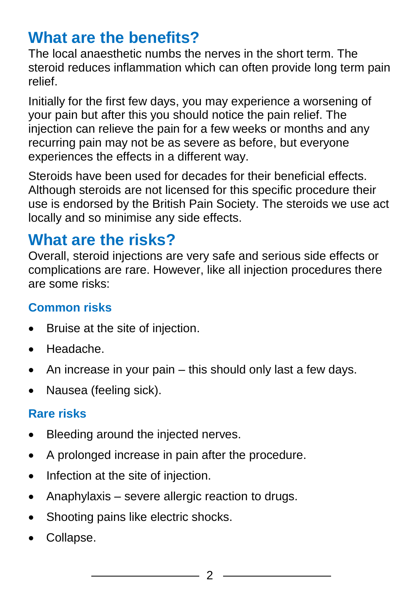### **What are the benefits?**

The local anaesthetic numbs the nerves in the short term. The steroid reduces inflammation which can often provide long term pain relief.

Initially for the first few days, you may experience a worsening of your pain but after this you should notice the pain relief. The injection can relieve the pain for a few weeks or months and any recurring pain may not be as severe as before, but everyone experiences the effects in a different way.

Steroids have been used for decades for their beneficial effects. Although steroids are not licensed for this specific procedure their use is endorsed by the British Pain Society. The steroids we use act locally and so minimise any side effects.

### **What are the risks?**

Overall, steroid injections are very safe and serious side effects or complications are rare. However, like all injection procedures there are some risks:

#### **Common risks**

- Bruise at the site of injection.
- Headache.
- $\bullet$  An increase in your pain this should only last a few days.
- Nausea (feeling sick).

#### **Rare risks**

- Bleeding around the injected nerves.
- A prolonged increase in pain after the procedure.
- Infection at the site of injection.
- Anaphylaxis severe allergic reaction to drugs.
- Shooting pains like electric shocks.
- Collapse.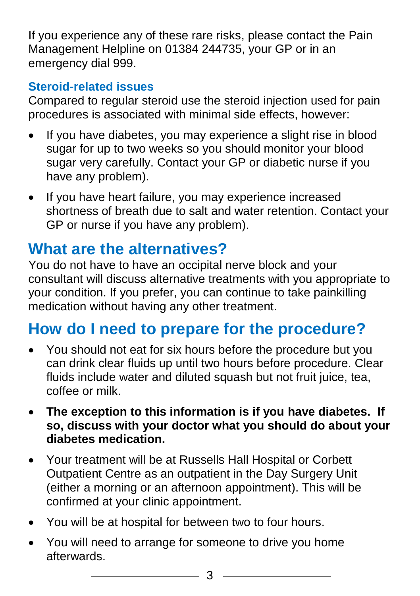If you experience any of these rare risks, please contact the Pain Management Helpline on 01384 244735, your GP or in an emergency dial 999.

#### **Steroid-related issues**

Compared to regular steroid use the steroid injection used for pain procedures is associated with minimal side effects, however:

- If you have diabetes, you may experience a slight rise in blood sugar for up to two weeks so you should monitor your blood sugar very carefully. Contact your GP or diabetic nurse if you have any problem).
- If you have heart failure, you may experience increased shortness of breath due to salt and water retention. Contact your GP or nurse if you have any problem).

### **What are the alternatives?**

You do not have to have an occipital nerve block and your consultant will discuss alternative treatments with you appropriate to your condition. If you prefer, you can continue to take painkilling medication without having any other treatment.

### **How do I need to prepare for the procedure?**

- You should not eat for six hours before the procedure but you can drink clear fluids up until two hours before procedure. Clear fluids include water and diluted squash but not fruit juice, tea, coffee or milk.
- **The exception to this information is if you have diabetes. If so, discuss with your doctor what you should do about your diabetes medication.**
- Your treatment will be at Russells Hall Hospital or Corbett Outpatient Centre as an outpatient in the Day Surgery Unit (either a morning or an afternoon appointment). This will be confirmed at your clinic appointment.
- You will be at hospital for between two to four hours.
- You will need to arrange for someone to drive you home afterwards.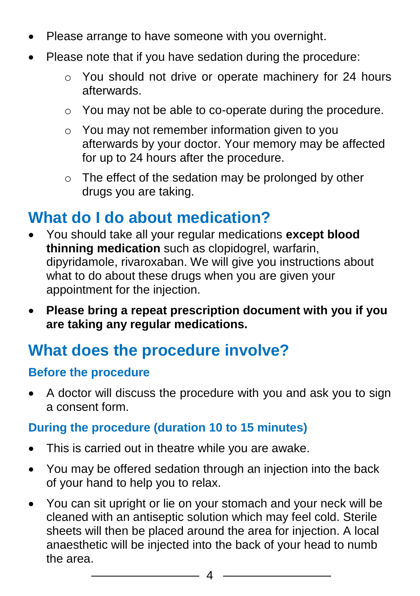- Please arrange to have someone with you overnight.
- Please note that if you have sedation during the procedure:
	- o You should not drive or operate machinery for 24 hours afterwards.
	- o You may not be able to co-operate during the procedure.
	- o You may not remember information given to you afterwards by your doctor. Your memory may be affected for up to 24 hours after the procedure.
	- o The effect of the sedation may be prolonged by other drugs you are taking.

### **What do I do about medication?**

- You should take all your regular medications **except blood thinning medication** such as clopidogrel, warfarin, dipyridamole, rivaroxaban. We will give you instructions about what to do about these drugs when you are given your appointment for the injection.
- **Please bring a repeat prescription document with you if you are taking any regular medications.**

### **What does the procedure involve?**

#### **Before the procedure**

 A doctor will discuss the procedure with you and ask you to sign a consent form.

#### **During the procedure (duration 10 to 15 minutes)**

- This is carried out in theatre while you are awake.
- You may be offered sedation through an injection into the back of your hand to help you to relax.
- You can sit upright or lie on your stomach and your neck will be cleaned with an antiseptic solution which may feel cold. Sterile sheets will then be placed around the area for injection. A local anaesthetic will be injected into the back of your head to numb the area.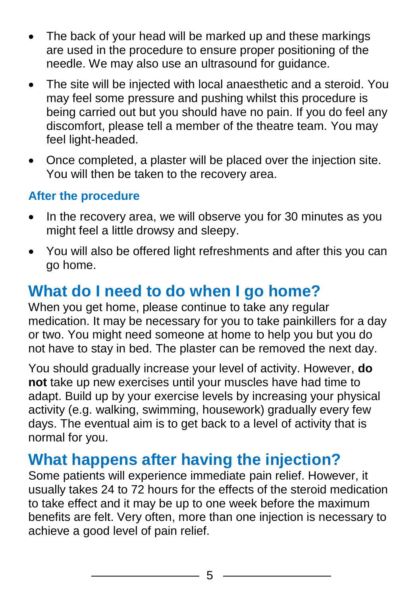- The back of your head will be marked up and these markings are used in the procedure to ensure proper positioning of the needle. We may also use an ultrasound for guidance.
- The site will be injected with local anaesthetic and a steroid. You may feel some pressure and pushing whilst this procedure is being carried out but you should have no pain. If you do feel any discomfort, please tell a member of the theatre team. You may feel light-headed.
- Once completed, a plaster will be placed over the injection site. You will then be taken to the recovery area.

#### **After the procedure**

- In the recovery area, we will observe you for 30 minutes as you might feel a little drowsy and sleepy.
- You will also be offered light refreshments and after this you can go home.

### **What do I need to do when I go home?**

When you get home, please continue to take any regular medication. It may be necessary for you to take painkillers for a day or two. You might need someone at home to help you but you do not have to stay in bed. The plaster can be removed the next day.

You should gradually increase your level of activity. However, **do not** take up new exercises until your muscles have had time to adapt. Build up by your exercise levels by increasing your physical activity (e.g. walking, swimming, housework) gradually every few days. The eventual aim is to get back to a level of activity that is normal for you.

### **What happens after having the injection?**

Some patients will experience immediate pain relief. However, it usually takes 24 to 72 hours for the effects of the steroid medication to take effect and it may be up to one week before the maximum benefits are felt. Very often, more than one injection is necessary to achieve a good level of pain relief.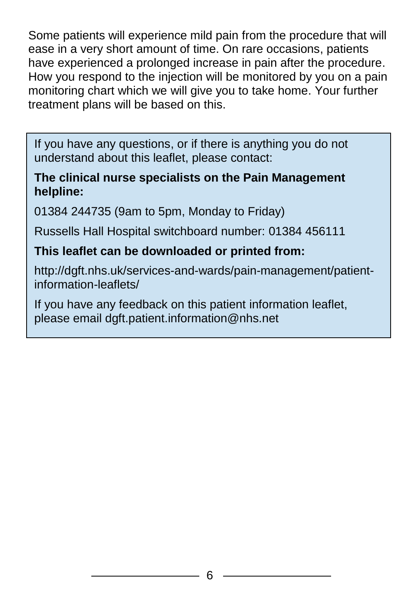Some patients will experience mild pain from the procedure that will ease in a very short amount of time. On rare occasions, patients have experienced a prolonged increase in pain after the procedure. How you respond to the injection will be monitored by you on a pain monitoring chart which we will give you to take home. Your further treatment plans will be based on this.

If you have any questions, or if there is anything you do not understand about this leaflet, please contact:

#### **The clinical nurse specialists on the Pain Management helpline:**

01384 244735 (9am to 5pm, Monday to Friday)

Russells Hall Hospital switchboard number: 01384 456111

#### **This leaflet can be downloaded or printed from:**

http://dgft.nhs.uk/services-and-wards/pain-management/patientinformation-leaflets/

If you have any feedback on this patient information leaflet, please email dgft.patient.information@nhs.net